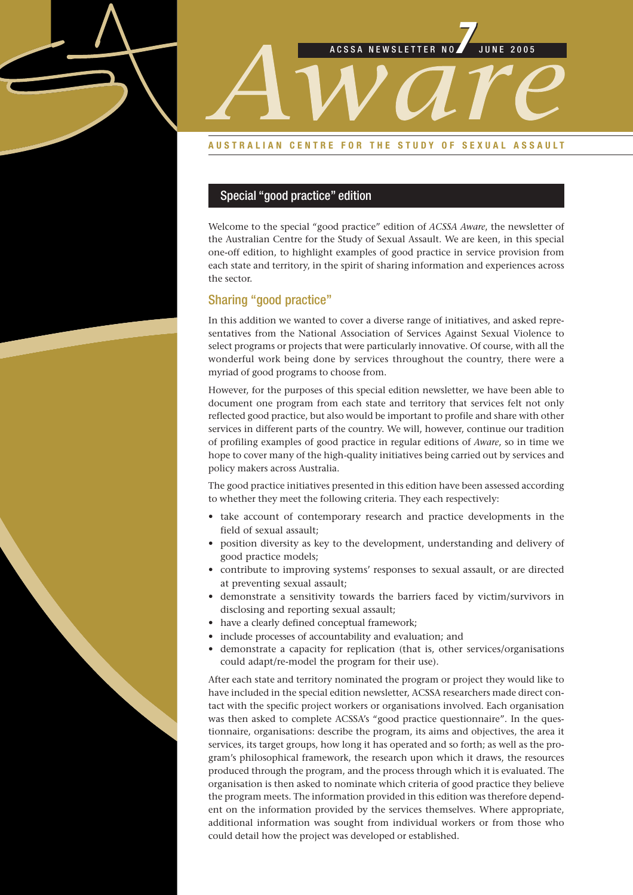

#### **AUSTRALIAN CENTRE FOR THE STUDY OF SEXUAL ASSAULT**

#### Special "good practice" edition

Welcome to the special "good practice" edition of *ACSSA Aware*, the newsletter of the Australian Centre for the Study of Sexual Assault. We are keen, in this special one-off edition, to highlight examples of good practice in service provision from each state and territory, in the spirit of sharing information and experiences across the sector.

#### Sharing "good practice"

In this addition we wanted to cover a diverse range of initiatives, and asked representatives from the National Association of Services Against Sexual Violence to select programs or projects that were particularly innovative. Of course, with all the wonderful work being done by services throughout the country, there were a myriad of good programs to choose from.

However, for the purposes of this special edition newsletter, we have been able to document one program from each state and territory that services felt not only reflected good practice, but also would be important to profile and share with other services in different parts of the country. We will, however, continue our tradition of profiling examples of good practice in regular editions of *Aware*, so in time we hope to cover many of the high-quality initiatives being carried out by services and policy makers across Australia.

The good practice initiatives presented in this edition have been assessed according to whether they meet the following criteria. They each respectively:

- take account of contemporary research and practice developments in the field of sexual assault;
- position diversity as key to the development, understanding and delivery of good practice models;
- contribute to improving systems' responses to sexual assault, or are directed at preventing sexual assault;
- demonstrate a sensitivity towards the barriers faced by victim/survivors in disclosing and reporting sexual assault;
- have a clearly defined conceptual framework;
- include processes of accountability and evaluation; and
- demonstrate a capacity for replication (that is, other services/organisations could adapt/re-model the program for their use).

After each state and territory nominated the program or project they would like to have included in the special edition newsletter, ACSSA researchers made direct contact with the specific project workers or organisations involved. Each organisation was then asked to complete ACSSA's "good practice questionnaire". In the questionnaire, organisations: describe the program, its aims and objectives, the area it services, its target groups, how long it has operated and so forth; as well as the program's philosophical framework, the research upon which it draws, the resources produced through the program, and the process through which it is evaluated. The organisation is then asked to nominate which criteria of good practice they believe the program meets. The information provided in this edition was therefore dependent on the information provided by the services themselves. Where appropriate, additional information was sought from individual workers or from those who could detail how the project was developed or established.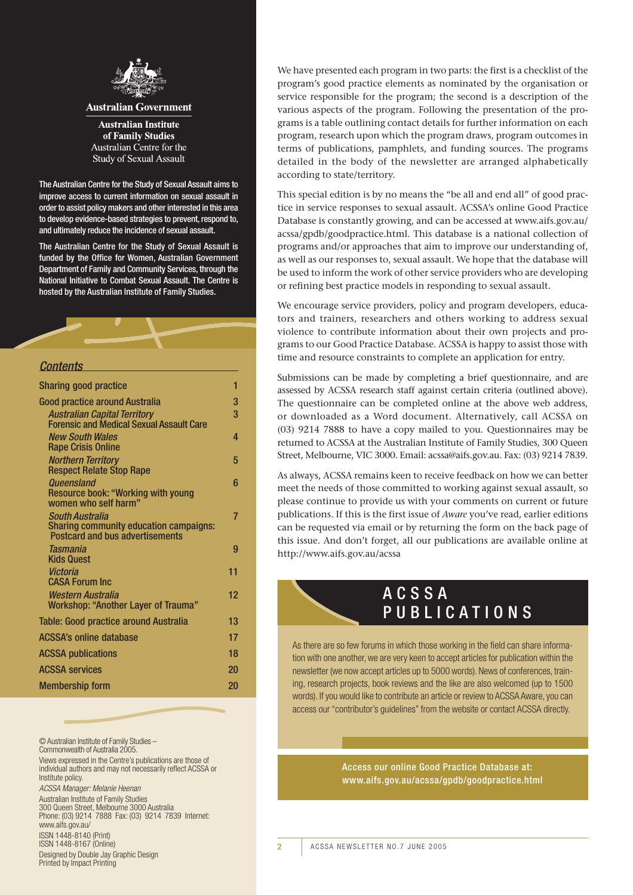

#### **Australian Government**

**Australian Institute** of Family Studies Australian Centre for the **Study of Sexual Assault** 

The Australian Centre for the Study of Sexual Assault aims to improve access to current information on sexual assault in order to assist policy makers and other interested in this area to develop evidence-based strategies to prevent, respond to, and ultimately reduce the incidence of sexual assault.

The Australian Centre for the Study of Sexual Assault is funded by the Office for Women, Australian Government Department of Family and Community Services, through the National Initiative to Combat Sexual Assault. The Centre is hosted by the Australian Institute of Family Studies.

#### *Contents*

| <b>Sharing good practice</b>                                                                               | 1  |
|------------------------------------------------------------------------------------------------------------|----|
| Good practice around Australia                                                                             | 3  |
| <b>Australian Capital Territory</b><br><b>Forensic and Medical Sexual Assault Care</b>                     | 3  |
| <b>New South Wales</b><br><b>Rape Crisis Online</b>                                                        | 4  |
| <b>Northern Territory</b><br><b>Respect Relate Stop Rape</b>                                               | 5  |
| Queensland<br><b>Resource book: "Working with young</b><br>women who self harm"                            | 6  |
| South Australia<br><b>Sharing community education campaigns:</b><br><b>Postcard and bus advertisements</b> | 7  |
| Tasmania<br><b>Kids Quest</b>                                                                              | 9  |
| Victoria<br><b>CASA Forum Inc</b>                                                                          | 11 |
| Western Australia<br><b>Workshop: "Another Layer of Trauma"</b>                                            | 12 |
| Table: Good practice around Australia                                                                      | 13 |
| ACSSA's online database                                                                                    | 17 |
| ACSSA publications                                                                                         | 18 |
| ACSSA services                                                                                             | 20 |
| Membership form                                                                                            | 20 |

© Australian Institute of Family Studies – Commonwealth of Australia 2005. Views expressed in the Centre's publications are those of individual authors and may not necessarily reflect ACSSA or Institute policy. *ACSSA Manager: Melanie Heenan* Australian Institute of Family Studies 300 Queen Street, Melbourne 3000 Australia Phone: (03) 9214 7888 Fax: (03) 9214 7839 Internet: www.aifs.gov.au/ ISSN 1448-8140 (Print) ISSN 1448-8167 (Online) Designed by Double Jay Graphic Design Printed by Impact Printing

We have presented each program in two parts: the first is a checklist of the program's good practice elements as nominated by the organisation or service responsible for the program; the second is a description of the various aspects of the program. Following the presentation of the programs is a table outlining contact details for further information on each program, research upon which the program draws, program outcomes in terms of publications, pamphlets, and funding sources. The programs detailed in the body of the newsletter are arranged alphabetically according to state/territory.

This special edition is by no means the "be all and end all" of good practice in service responses to sexual assault. ACSSA's online Good Practice Database is constantly growing, and can be accessed at www.aifs.gov.au/ acssa/gpdb/goodpractice.html. This database is a national collection of programs and/or approaches that aim to improve our understanding of, as well as our responses to, sexual assault. We hope that the database will be used to inform the work of other service providers who are developing or refining best practice models in responding to sexual assault.

We encourage service providers, policy and program developers, educators and trainers, researchers and others working to address sexual violence to contribute information about their own projects and programs to our Good Practice Database. ACSSA is happy to assist those with time and resource constraints to complete an application for entry.

Submissions can be made by completing a brief questionnaire, and are assessed by ACSSA research staff against certain criteria (outlined above). The questionnaire can be completed online at the above web address, or downloaded as a Word document. Alternatively, call ACSSA on (03) 9214 7888 to have a copy mailed to you. Questionnaires may be returned to ACSSA at the Australian Institute of Family Studies, 300 Queen Street, Melbourne, VIC 3000. Email: acssa@aifs.gov.au. Fax: (03) 9214 7839.

As always, ACSSA remains keen to receive feedback on how we can better meet the needs of those committed to working against sexual assault, so please continue to provide us with your comments on current or future publications. If this is the first issue of *Aware* you've read, earlier editions can be requested via email or by returning the form on the back page of this issue. And don't forget, all our publications are available online at http://www.aifs.gov.au/acssa

### ACSSA PUBLICATIONS

As there are so few forums in which those working in the field can share information with one another, we are very keen to accept articles for publication within the newsletter (we now accept articles up to 5000 words). News of conferences, training, research projects, book reviews and the like are also welcomed (up to 1500 words). If you would like to contribute an article or review to ACSSA Aware, you can access our "contributor's guidelines" from the website or contact ACSSA directly.

> Access our online Good Practice Database at: www.aifs.gov.au/acssa/gpdb/goodpractice.html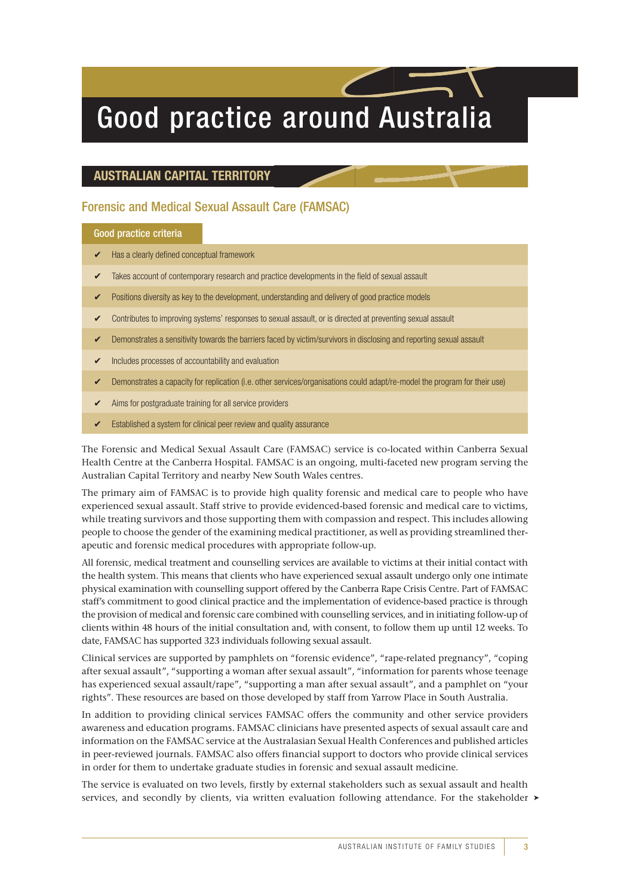# Good practice around Australia

### **AUSTRALIAN CAPITAL TERRITORY**

#### Forensic and Medical Sexual Assault Care (FAMSAC)

#### Good practice criteria

- $\triangleright$  Has a clearly defined conceptual framework
- Takes account of contemporary research and practice developments in the field of sexual assault
- Positions diversity as key to the development, understanding and delivery of good practice models
- Contributes to improving systems' responses to sexual assault, or is directed at preventing sexual assault
- Demonstrates a sensitivity towards the barriers faced by victim/survivors in disclosing and reporting sexual assault
- Includes processes of accountability and evaluation
- Demonstrates a capacity for replication (i.e. other services/organisations could adapt/re-model the program for their use)
- Aims for postgraduate training for all service providers
- ✔ Established a system for clinical peer review and quality assurance

The Forensic and Medical Sexual Assault Care (FAMSAC) service is co-located within Canberra Sexual Health Centre at the Canberra Hospital. FAMSAC is an ongoing, multi-faceted new program serving the Australian Capital Territory and nearby New South Wales centres.

The primary aim of FAMSAC is to provide high quality forensic and medical care to people who have experienced sexual assault. Staff strive to provide evidenced-based forensic and medical care to victims, while treating survivors and those supporting them with compassion and respect. This includes allowing people to choose the gender of the examining medical practitioner, as well as providing streamlined therapeutic and forensic medical procedures with appropriate follow-up.

All forensic, medical treatment and counselling services are available to victims at their initial contact with the health system. This means that clients who have experienced sexual assault undergo only one intimate physical examination with counselling support offered by the Canberra Rape Crisis Centre. Part of FAMSAC staff's commitment to good clinical practice and the implementation of evidence-based practice is through the provision of medical and forensic care combined with counselling services, and in initiating follow-up of clients within 48 hours of the initial consultation and, with consent, to follow them up until 12 weeks. To date, FAMSAC has supported 323 individuals following sexual assault.

Clinical services are supported by pamphlets on "forensic evidence", "rape-related pregnancy", "coping after sexual assault", "supporting a woman after sexual assault", "information for parents whose teenage has experienced sexual assault/rape", "supporting a man after sexual assault", and a pamphlet on "your rights". These resources are based on those developed by staff from Yarrow Place in South Australia.

In addition to providing clinical services FAMSAC offers the community and other service providers awareness and education programs. FAMSAC clinicians have presented aspects of sexual assault care and information on the FAMSAC service at the Australasian Sexual Health Conferences and published articles in peer-reviewed journals. FAMSAC also offers financial support to doctors who provide clinical services in order for them to undertake graduate studies in forensic and sexual assault medicine.

The service is evaluated on two levels, firstly by external stakeholders such as sexual assault and health services, and secondly by clients, via written evaluation following attendance. For the stakeholder ►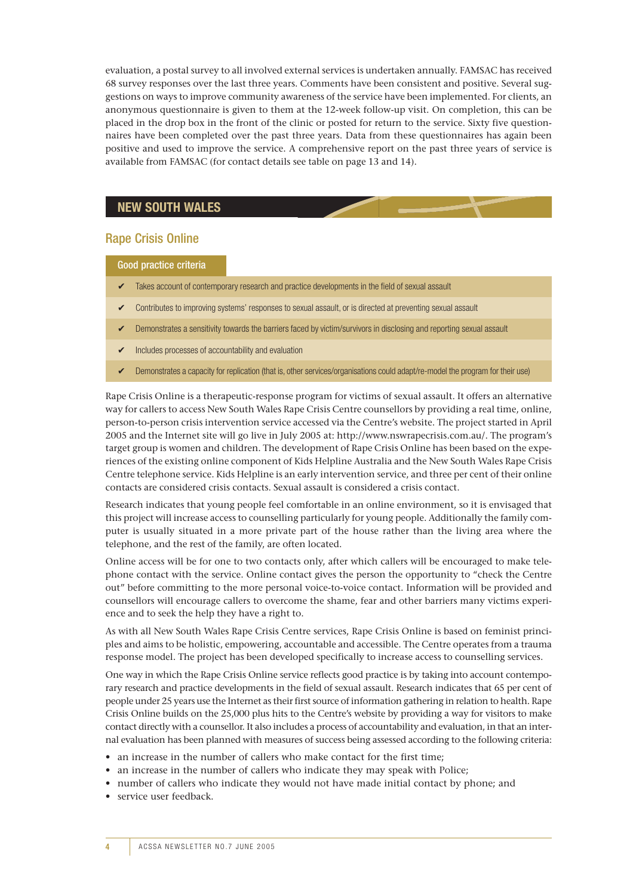evaluation, a postal survey to all involved external services is undertaken annually. FAMSAC has received 68 survey responses over the last three years. Comments have been consistent and positive. Several suggestions on ways to improve community awareness of the service have been implemented. For clients, an anonymous questionnaire is given to them at the 12-week follow-up visit. On completion, this can be placed in the drop box in the front of the clinic or posted for return to the service. Sixty five questionnaires have been completed over the past three years. Data from these questionnaires has again been positive and used to improve the service. A comprehensive report on the past three years of service is available from FAMSAC (for contact details see table on page 13 and 14).

### **NEW SOUTH WALES**

#### Rape Crisis Online

#### Good practice criteria

- $\triangleright$  Takes account of contemporary research and practice developments in the field of sexual assault
- ✔ Contributes to improving systems' responses to sexual assault, or is directed at preventing sexual assault
- Demonstrates a sensitivity towards the barriers faced by victim/survivors in disclosing and reporting sexual assault
- $\triangleright$  Includes processes of accountability and evaluation
- ✔ Demonstrates a capacity for replication (that is, other services/organisations could adapt/re-model the program for their use)

Rape Crisis Online is a therapeutic-response program for victims of sexual assault. It offers an alternative way for callers to access New South Wales Rape Crisis Centre counsellors by providing a real time, online, person-to-person crisis intervention service accessed via the Centre's website. The project started in April 2005 and the Internet site will go live in July 2005 at: http://www.nswrapecrisis.com.au/. The program's target group is women and children. The development of Rape Crisis Online has been based on the experiences of the existing online component of Kids Helpline Australia and the New South Wales Rape Crisis Centre telephone service. Kids Helpline is an early intervention service, and three per cent of their online contacts are considered crisis contacts. Sexual assault is considered a crisis contact.

Research indicates that young people feel comfortable in an online environment, so it is envisaged that this project will increase access to counselling particularly for young people. Additionally the family computer is usually situated in a more private part of the house rather than the living area where the telephone, and the rest of the family, are often located.

Online access will be for one to two contacts only, after which callers will be encouraged to make telephone contact with the service. Online contact gives the person the opportunity to "check the Centre out" before committing to the more personal voice-to-voice contact. Information will be provided and counsellors will encourage callers to overcome the shame, fear and other barriers many victims experience and to seek the help they have a right to.

As with all New South Wales Rape Crisis Centre services, Rape Crisis Online is based on feminist principles and aims to be holistic, empowering, accountable and accessible. The Centre operates from a trauma response model. The project has been developed specifically to increase access to counselling services.

One way in which the Rape Crisis Online service reflects good practice is by taking into account contemporary research and practice developments in the field of sexual assault. Research indicates that 65 per cent of people under 25 years use the Internet as their first source of information gathering in relation to health. Rape Crisis Online builds on the 25,000 plus hits to the Centre's website by providing a way for visitors to make contact directly with a counsellor. It also includes a process of accountability and evaluation, in that an internal evaluation has been planned with measures of success being assessed according to the following criteria:

- an increase in the number of callers who make contact for the first time;
- an increase in the number of callers who indicate they may speak with Police;
- number of callers who indicate they would not have made initial contact by phone; and
- service user feedback.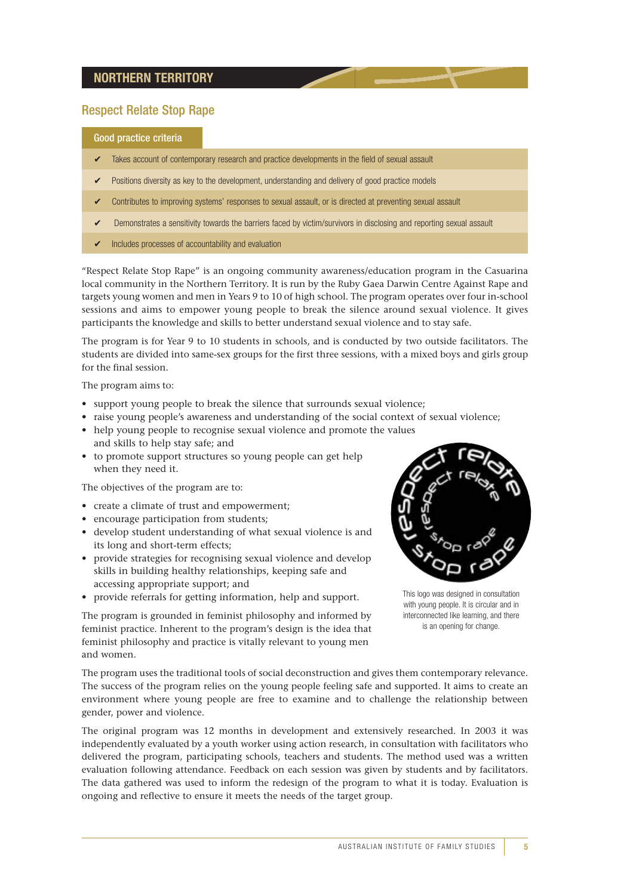#### **NORTHERN TERRITORY**

### Respect Relate Stop Rape

#### Good practice criteria

- Takes account of contemporary research and practice developments in the field of sexual assault
- Positions diversity as key to the development, understanding and delivery of good practice models
- ✔ Contributes to improving systems' responses to sexual assault, or is directed at preventing sexual assault
- Demonstrates a sensitivity towards the barriers faced by victim/survivors in disclosing and reporting sexual assault
- $\triangleright$  Includes processes of accountability and evaluation

"Respect Relate Stop Rape" is an ongoing community awareness/education program in the Casuarina local community in the Northern Territory. It is run by the Ruby Gaea Darwin Centre Against Rape and targets young women and men in Years 9 to 10 of high school. The program operates over four in-school sessions and aims to empower young people to break the silence around sexual violence. It gives participants the knowledge and skills to better understand sexual violence and to stay safe.

The program is for Year 9 to 10 students in schools, and is conducted by two outside facilitators. The students are divided into same-sex groups for the first three sessions, with a mixed boys and girls group for the final session.

The program aims to:

- support young people to break the silence that surrounds sexual violence;
- raise young people's awareness and understanding of the social context of sexual violence;
- help young people to recognise sexual violence and promote the values and skills to help stay safe; and
- to promote support structures so young people can get help when they need it.

The objectives of the program are to:

- create a climate of trust and empowerment;
- encourage participation from students;
- develop student understanding of what sexual violence is and its long and short-term effects;
- provide strategies for recognising sexual violence and develop skills in building healthy relationships, keeping safe and accessing appropriate support; and
- provide referrals for getting information, help and support.

This logo was designed in consultation with young people. It is circular and in interconnected like learning, and there is an opening for change.

The program is grounded in feminist philosophy and informed by feminist practice. Inherent to the program's design is the idea that feminist philosophy and practice is vitally relevant to young men and women.

The program uses the traditional tools of social deconstruction and gives them contemporary relevance. The success of the program relies on the young people feeling safe and supported. It aims to create an environment where young people are free to examine and to challenge the relationship between gender, power and violence.

The original program was 12 months in development and extensively researched. In 2003 it was independently evaluated by a youth worker using action research, in consultation with facilitators who delivered the program, participating schools, teachers and students. The method used was a written evaluation following attendance. Feedback on each session was given by students and by facilitators. The data gathered was used to inform the redesign of the program to what it is today. Evaluation is ongoing and reflective to ensure it meets the needs of the target group.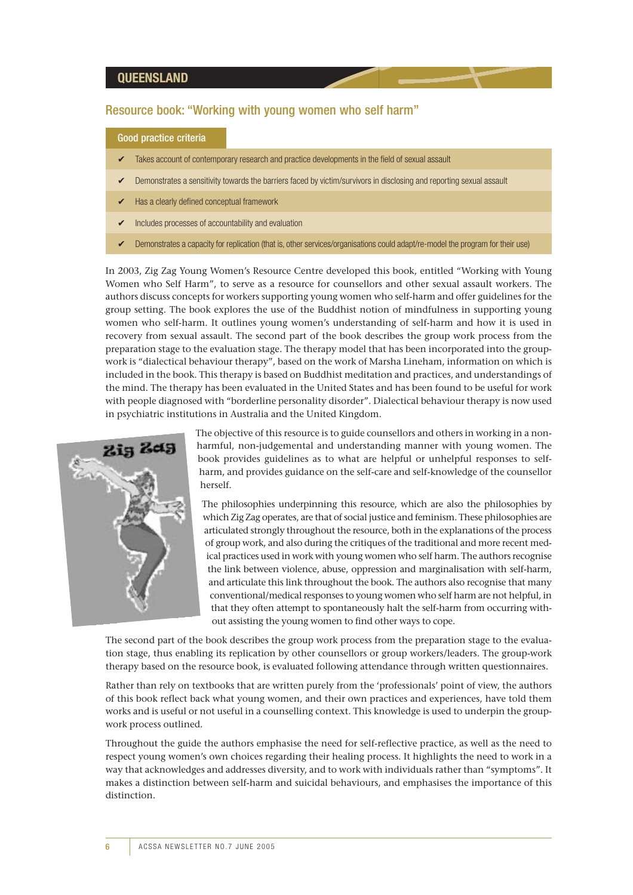#### **QUEENSLAND**

#### Resource book: "Working with young women who self harm"

#### Good practice criteria

- Takes account of contemporary research and practice developments in the field of sexual assault
- Demonstrates a sensitivity towards the barriers faced by victim/survivors in disclosing and reporting sexual assault
- Has a clearly defined conceptual framework
- Includes processes of accountability and evaluation
- Demonstrates a capacity for replication (that is, other services/organisations could adapt/re-model the program for their use)

In 2003, Zig Zag Young Women's Resource Centre developed this book, entitled "Working with Young Women who Self Harm", to serve as a resource for counsellors and other sexual assault workers. The authors discuss concepts for workers supporting young women who self-harm and offer guidelines for the group setting. The book explores the use of the Buddhist notion of mindfulness in supporting young women who self-harm. It outlines young women's understanding of self-harm and how it is used in recovery from sexual assault. The second part of the book describes the group work process from the preparation stage to the evaluation stage. The therapy model that has been incorporated into the groupwork is "dialectical behaviour therapy", based on the work of Marsha Lineham, information on which is included in the book. This therapy is based on Buddhist meditation and practices, and understandings of the mind. The therapy has been evaluated in the United States and has been found to be useful for work with people diagnosed with "borderline personality disorder". Dialectical behaviour therapy is now used in psychiatric institutions in Australia and the United Kingdom.



The objective of this resource is to guide counsellors and others in working in a nonharmful, non-judgemental and understanding manner with young women. The book provides guidelines as to what are helpful or unhelpful responses to selfharm, and provides guidance on the self-care and self-knowledge of the counsellor herself.

The philosophies underpinning this resource, which are also the philosophies by which Zig Zag operates, are that of social justice and feminism. These philosophies are articulated strongly throughout the resource, both in the explanations of the process of group work, and also during the critiques of the traditional and more recent medical practices used in work with young women who self harm. The authors recognise the link between violence, abuse, oppression and marginalisation with self-harm, and articulate this link throughout the book. The authors also recognise that many conventional/medical responses to young women who self harm are not helpful, in that they often attempt to spontaneously halt the self-harm from occurring without assisting the young women to find other ways to cope.

The second part of the book describes the group work process from the preparation stage to the evaluation stage, thus enabling its replication by other counsellors or group workers/leaders. The group-work therapy based on the resource book, is evaluated following attendance through written questionnaires.

Rather than rely on textbooks that are written purely from the 'professionals' point of view, the authors of this book reflect back what young women, and their own practices and experiences, have told them works and is useful or not useful in a counselling context. This knowledge is used to underpin the groupwork process outlined.

Throughout the guide the authors emphasise the need for self-reflective practice, as well as the need to respect young women's own choices regarding their healing process. It highlights the need to work in a way that acknowledges and addresses diversity, and to work with individuals rather than "symptoms". It makes a distinction between self-harm and suicidal behaviours, and emphasises the importance of this distinction.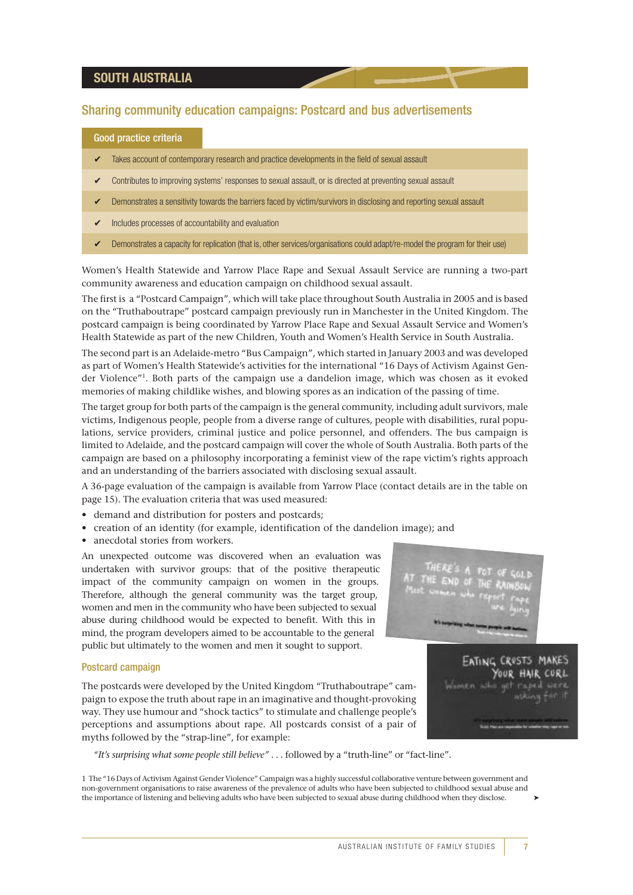#### **SOUTH AUSTRALIA**

#### Sharing community education campaigns: Postcard and bus advertisements

#### Good practice criteria

- Takes account of contemporary research and practice developments in the field of sexual assault
- ✔ Contributes to improving systems' responses to sexual assault, or is directed at preventing sexual assault
- Demonstrates a sensitivity towards the barriers faced by victim/survivors in disclosing and reporting sexual assault
- Includes processes of accountability and evaluation
- Demonstrates a capacity for replication (that is, other services/organisations could adapt/re-model the program for their use)

Women's Health Statewide and Yarrow Place Rape and Sexual Assault Service are running a two-part community awareness and education campaign on childhood sexual assault.

The first is a "Postcard Campaign", which will take place throughout South Australia in 2005 and is based on the "Truthaboutrape" postcard campaign previously run in Manchester in the United Kingdom. The postcard campaign is being coordinated by Yarrow Place Rape and Sexual Assault Service and Women's Health Statewide as part of the new Children, Youth and Women's Health Service in South Australia.

The second part is an Adelaide-metro "Bus Campaign", which started in January 2003 and was developed as part of Women's Health Statewide's activities for the international "16 Days of Activism Against Gender Violence"<sup>1</sup>. Both parts of the campaign use a dandelion image, which was chosen as it evoked memories of making childlike wishes, and blowing spores as an indication of the passing of time.

The target group for both parts of the campaign is the general community, including adult survivors, male victims, Indigenous people, people from a diverse range of cultures, people with disabilities, rural populations, service providers, criminal justice and police personnel, and offenders. The bus campaign is limited to Adelaide, and the postcard campaign will cover the whole of South Australia. Both parts of the campaign are based on a philosophy incorporating a feminist view of the rape victim's rights approach and an understanding of the barriers associated with disclosing sexual assault.

A 36-page evaluation of the campaign is available from Yarrow Place (contact details are in the table on page 15). The evaluation criteria that was used measured:

- demand and distribution for posters and postcards;
- creation of an identity (for example, identification of the dandelion image); and
- anecdotal stories from workers.

An unexpected outcome was discovered when an evaluation was undertaken with survivor groups: that of the positive therapeutic impact of the community campaign on women in the groups. Therefore, although the general community was the target group, women and men in the community who have been subjected to sexual abuse during childhood would be expected to benefit. With this in mind, the program developers aimed to be accountable to the general public but ultimately to the women and men it sought to support.

#### Postcard campaign

The postcards were developed by the United Kingdom "Truthaboutrape" campaign to expose the truth about rape in an imaginative and thought-provoking way. They use humour and "shock tactics" to stimulate and challenge people's perceptions and assumptions about rape. All postcards consist of a pair of myths followed by the "strap-line", for example:

*"It's surprising what some people still believe"* . . . followed by a "truth-line" or "fact-line".

1 The "16 Days of Activism Against Gender Violence" Campaign was a highly successful collaborative venture between government and non-government organisations to raise awareness of the prevalence of adults who have been subjected to childhood sexual abuse and the importance of listening and believing adults who have been subjected to sexual abuse during childhood when they disclose. ➤

CROSTS MAKES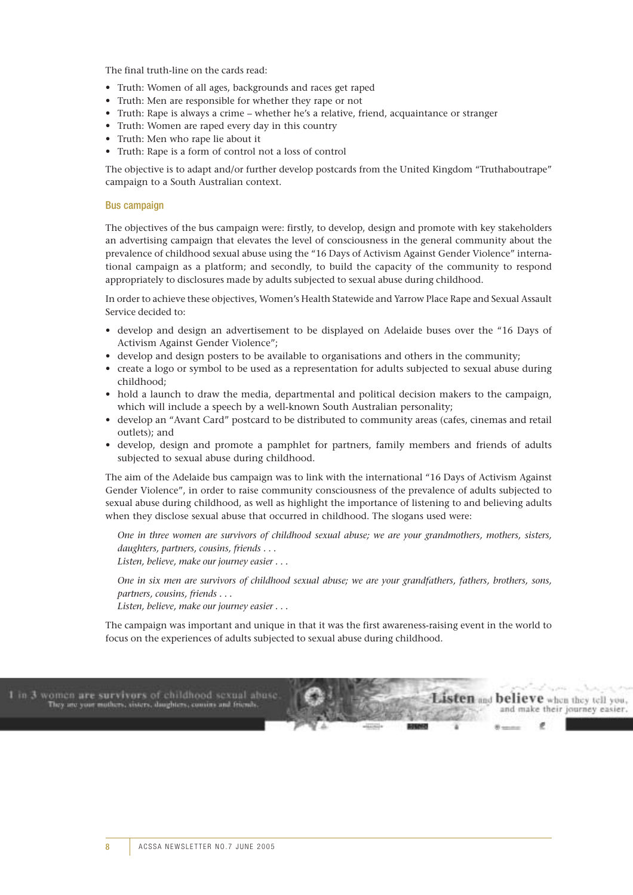The final truth-line on the cards read:

- Truth: Women of all ages, backgrounds and races get raped
- Truth: Men are responsible for whether they rape or not
- Truth: Rape is always a crime whether he's a relative, friend, acquaintance or stranger
- Truth: Women are raped every day in this country
- Truth: Men who rape lie about it
- Truth: Rape is a form of control not a loss of control

The objective is to adapt and/or further develop postcards from the United Kingdom "Truthaboutrape" campaign to a South Australian context.

#### Bus campaign

The objectives of the bus campaign were: firstly, to develop, design and promote with key stakeholders an advertising campaign that elevates the level of consciousness in the general community about the prevalence of childhood sexual abuse using the "16 Days of Activism Against Gender Violence" international campaign as a platform; and secondly, to build the capacity of the community to respond appropriately to disclosures made by adults subjected to sexual abuse during childhood.

In order to achieve these objectives, Women's Health Statewide and Yarrow Place Rape and Sexual Assault Service decided to:

- develop and design an advertisement to be displayed on Adelaide buses over the "16 Days of Activism Against Gender Violence";
- develop and design posters to be available to organisations and others in the community;
- create a logo or symbol to be used as a representation for adults subjected to sexual abuse during childhood;
- hold a launch to draw the media, departmental and political decision makers to the campaign, which will include a speech by a well-known South Australian personality;
- develop an "Avant Card" postcard to be distributed to community areas (cafes, cinemas and retail outlets); and
- develop, design and promote a pamphlet for partners, family members and friends of adults subjected to sexual abuse during childhood.

The aim of the Adelaide bus campaign was to link with the international "16 Days of Activism Against Gender Violence", in order to raise community consciousness of the prevalence of adults subjected to sexual abuse during childhood, as well as highlight the importance of listening to and believing adults when they disclose sexual abuse that occurred in childhood. The slogans used were:

*One in three women are survivors of childhood sexual abuse; we are your grandmothers, mothers, sisters, daughters, partners, cousins, friends . . .* 

*Listen, believe, make our journey easier . . .* 

*One in six men are survivors of childhood sexual abuse; we are your grandfathers, fathers, brothers, sons, partners, cousins, friends . . .* 

*Listen, believe, make our journey easier . . .* 

The campaign was important and unique in that it was the first awareness-raising event in the world to focus on the experiences of adults subjected to sexual abuse during childhood.

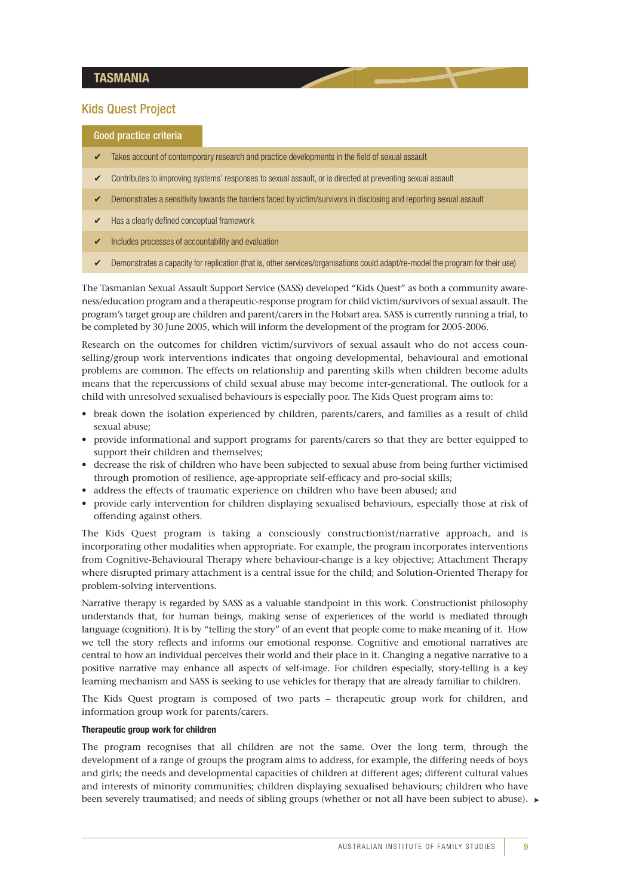#### **TASMANIA**

#### Kids Quest Project

#### Good practice criteria

- Takes account of contemporary research and practice developments in the field of sexual assault
- Contributes to improving systems' responses to sexual assault, or is directed at preventing sexual assault
- Demonstrates a sensitivity towards the barriers faced by victim/survivors in disclosing and reporting sexual assault
- $\triangleright$  Has a clearly defined conceptual framework
- Includes processes of accountability and evaluation
- ✔ Demonstrates a capacity for replication (that is, other services/organisations could adapt/re-model the program for their use)

The Tasmanian Sexual Assault Support Service (SASS) developed "Kids Quest" as both a community awareness/education program and a therapeutic-response program for child victim/survivors of sexual assault. The program's target group are children and parent/carers in the Hobart area. SASS is currently running a trial, to be completed by 30 June 2005, which will inform the development of the program for 2005-2006.

Research on the outcomes for children victim/survivors of sexual assault who do not access counselling/group work interventions indicates that ongoing developmental, behavioural and emotional problems are common. The effects on relationship and parenting skills when children become adults means that the repercussions of child sexual abuse may become inter-generational. The outlook for a child with unresolved sexualised behaviours is especially poor. The Kids Quest program aims to:

- break down the isolation experienced by children, parents/carers, and families as a result of child sexual abuse;
- provide informational and support programs for parents/carers so that they are better equipped to support their children and themselves;
- decrease the risk of children who have been subjected to sexual abuse from being further victimised through promotion of resilience, age-appropriate self-efficacy and pro-social skills;
- address the effects of traumatic experience on children who have been abused; and
- provide early intervention for children displaying sexualised behaviours, especially those at risk of offending against others.

The Kids Quest program is taking a consciously constructionist/narrative approach, and is incorporating other modalities when appropriate. For example, the program incorporates interventions from Cognitive-Behavioural Therapy where behaviour-change is a key objective; Attachment Therapy where disrupted primary attachment is a central issue for the child; and Solution-Oriented Therapy for problem-solving interventions.

Narrative therapy is regarded by SASS as a valuable standpoint in this work. Constructionist philosophy understands that, for human beings, making sense of experiences of the world is mediated through language (cognition). It is by "telling the story" of an event that people come to make meaning of it. How we tell the story reflects and informs our emotional response. Cognitive and emotional narratives are central to how an individual perceives their world and their place in it. Changing a negative narrative to a positive narrative may enhance all aspects of self-image. For children especially, story-telling is a key learning mechanism and SASS is seeking to use vehicles for therapy that are already familiar to children.

The Kids Quest program is composed of two parts – therapeutic group work for children, and information group work for parents/carers.

#### **Therapeutic group work for children**

been severely traumatised; and needs of sibling groups (whether or not all have been subject to abuse). ► The program recognises that all children are not the same. Over the long term, through the development of a range of groups the program aims to address, for example, the differing needs of boys and girls; the needs and developmental capacities of children at different ages; different cultural values and interests of minority communities; children displaying sexualised behaviours; children who have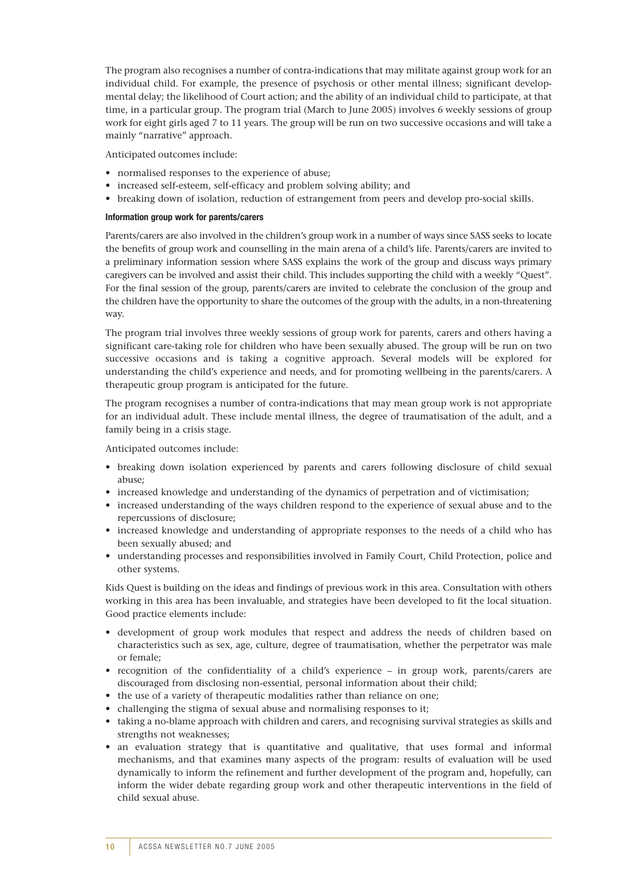The program also recognises a number of contra-indications that may militate against group work for an individual child. For example, the presence of psychosis or other mental illness; significant developmental delay; the likelihood of Court action; and the ability of an individual child to participate, at that time, in a particular group. The program trial (March to June 2005) involves 6 weekly sessions of group work for eight girls aged 7 to 11 years. The group will be run on two successive occasions and will take a mainly "narrative" approach.

Anticipated outcomes include:

- normalised responses to the experience of abuse;
- increased self-esteem, self-efficacy and problem solving ability; and
- breaking down of isolation, reduction of estrangement from peers and develop pro-social skills.

#### **Information group work for parents/carers**

Parents/carers are also involved in the children's group work in a number of ways since SASS seeks to locate the benefits of group work and counselling in the main arena of a child's life. Parents/carers are invited to a preliminary information session where SASS explains the work of the group and discuss ways primary caregivers can be involved and assist their child. This includes supporting the child with a weekly "Quest". For the final session of the group, parents/carers are invited to celebrate the conclusion of the group and the children have the opportunity to share the outcomes of the group with the adults, in a non-threatening way.

The program trial involves three weekly sessions of group work for parents, carers and others having a significant care-taking role for children who have been sexually abused. The group will be run on two successive occasions and is taking a cognitive approach. Several models will be explored for understanding the child's experience and needs, and for promoting wellbeing in the parents/carers. A therapeutic group program is anticipated for the future.

The program recognises a number of contra-indications that may mean group work is not appropriate for an individual adult. These include mental illness, the degree of traumatisation of the adult, and a family being in a crisis stage.

Anticipated outcomes include:

- breaking down isolation experienced by parents and carers following disclosure of child sexual abuse;
- increased knowledge and understanding of the dynamics of perpetration and of victimisation;
- increased understanding of the ways children respond to the experience of sexual abuse and to the repercussions of disclosure;
- increased knowledge and understanding of appropriate responses to the needs of a child who has been sexually abused; and
- understanding processes and responsibilities involved in Family Court, Child Protection, police and other systems.

Kids Quest is building on the ideas and findings of previous work in this area. Consultation with others working in this area has been invaluable, and strategies have been developed to fit the local situation. Good practice elements include:

- development of group work modules that respect and address the needs of children based on characteristics such as sex, age, culture, degree of traumatisation, whether the perpetrator was male or female;
- recognition of the confidentiality of a child's experience in group work, parents/carers are discouraged from disclosing non-essential, personal information about their child;
- the use of a variety of therapeutic modalities rather than reliance on one:
- challenging the stigma of sexual abuse and normalising responses to it;
- taking a no-blame approach with children and carers, and recognising survival strategies as skills and strengths not weaknesses;
- an evaluation strategy that is quantitative and qualitative, that uses formal and informal mechanisms, and that examines many aspects of the program: results of evaluation will be used dynamically to inform the refinement and further development of the program and, hopefully, can inform the wider debate regarding group work and other therapeutic interventions in the field of child sexual abuse.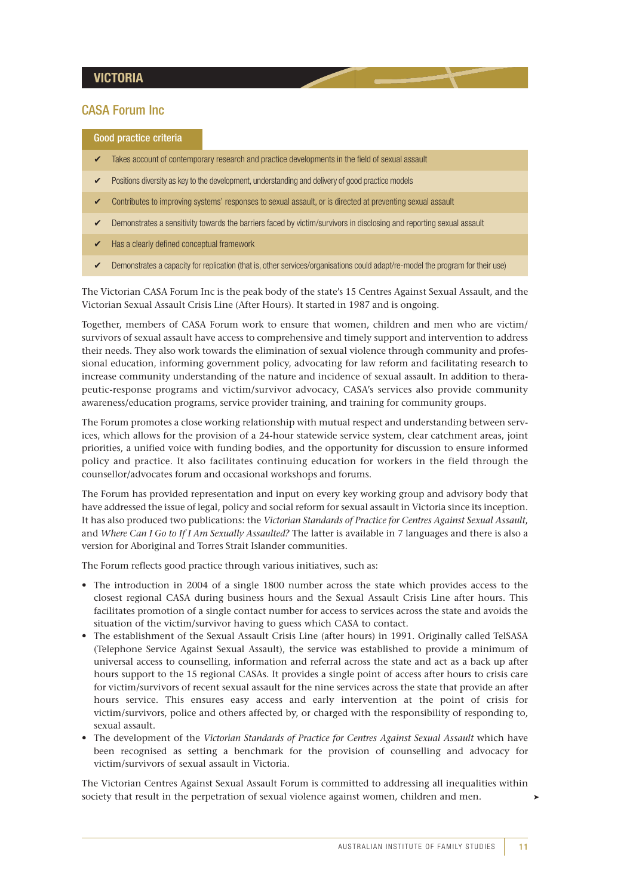#### **VICTORIA**

#### CASA Forum Inc

Good practice criteria

- Takes account of contemporary research and practice developments in the field of sexual assault
- Positions diversity as key to the development, understanding and delivery of good practice models
- Contributes to improving systems' responses to sexual assault, or is directed at preventing sexual assault
- Demonstrates a sensitivity towards the barriers faced by victim/survivors in disclosing and reporting sexual assault
- Has a clearly defined conceptual framework
- Demonstrates a capacity for replication (that is, other services/organisations could adapt/re-model the program for their use)

The Victorian CASA Forum Inc is the peak body of the state's 15 Centres Against Sexual Assault, and the Victorian Sexual Assault Crisis Line (After Hours). It started in 1987 and is ongoing.

Together, members of CASA Forum work to ensure that women, children and men who are victim/ survivors of sexual assault have access to comprehensive and timely support and intervention to address their needs. They also work towards the elimination of sexual violence through community and professional education, informing government policy, advocating for law reform and facilitating research to increase community understanding of the nature and incidence of sexual assault. In addition to therapeutic-response programs and victim/survivor advocacy, CASA's services also provide community awareness/education programs, service provider training, and training for community groups.

The Forum promotes a close working relationship with mutual respect and understanding between services, which allows for the provision of a 24-hour statewide service system, clear catchment areas, joint priorities, a unified voice with funding bodies, and the opportunity for discussion to ensure informed policy and practice. It also facilitates continuing education for workers in the field through the counsellor/advocates forum and occasional workshops and forums.

The Forum has provided representation and input on every key working group and advisory body that have addressed the issue of legal, policy and social reform for sexual assault in Victoria since its inception. It has also produced two publications: the *Victorian Standards of Practice for Centres Against Sexual Assault*, and *Where Can I Go to If I Am Sexually Assaulted?* The latter is available in 7 languages and there is also a version for Aboriginal and Torres Strait Islander communities.

The Forum reflects good practice through various initiatives, such as:

- The introduction in 2004 of a single 1800 number across the state which provides access to the closest regional CASA during business hours and the Sexual Assault Crisis Line after hours. This facilitates promotion of a single contact number for access to services across the state and avoids the situation of the victim/survivor having to guess which CASA to contact.
- The establishment of the Sexual Assault Crisis Line (after hours) in 1991. Originally called TelSASA (Telephone Service Against Sexual Assault), the service was established to provide a minimum of universal access to counselling, information and referral across the state and act as a back up after hours support to the 15 regional CASAs. It provides a single point of access after hours to crisis care for victim/survivors of recent sexual assault for the nine services across the state that provide an after hours service. This ensures easy access and early intervention at the point of crisis for victim/survivors, police and others affected by, or charged with the responsibility of responding to, sexual assault.
- The development of the *Victorian Standards of Practice for Centres Against Sexual Assault* which have been recognised as setting a benchmark for the provision of counselling and advocacy for victim/survivors of sexual assault in Victoria.

The Victorian Centres Against Sexual Assault Forum is committed to addressing all inequalities within society that result in the perpetration of sexual violence against women, children and men.

➤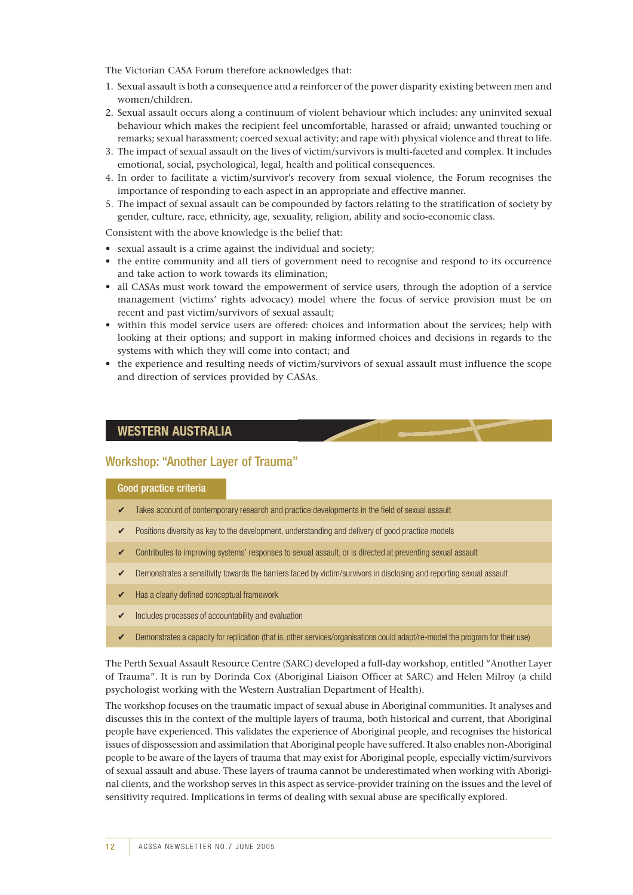The Victorian CASA Forum therefore acknowledges that:

- 1. Sexual assault is both a consequence and a reinforcer of the power disparity existing between men and women/children.
- 2. Sexual assault occurs along a continuum of violent behaviour which includes: any uninvited sexual behaviour which makes the recipient feel uncomfortable, harassed or afraid; unwanted touching or remarks; sexual harassment; coerced sexual activity; and rape with physical violence and threat to life.
- 3. The impact of sexual assault on the lives of victim/survivors is multi-faceted and complex. It includes emotional, social, psychological, legal, health and political consequences.
- 4. In order to facilitate a victim/survivor's recovery from sexual violence, the Forum recognises the importance of responding to each aspect in an appropriate and effective manner.
- 5. The impact of sexual assault can be compounded by factors relating to the stratification of society by gender, culture, race, ethnicity, age, sexuality, religion, ability and socio-economic class.

Consistent with the above knowledge is the belief that:

- sexual assault is a crime against the individual and society;
- the entire community and all tiers of government need to recognise and respond to its occurrence and take action to work towards its elimination;
- all CASAs must work toward the empowerment of service users, through the adoption of a service management (victims' rights advocacy) model where the focus of service provision must be on recent and past victim/survivors of sexual assault;
- within this model service users are offered: choices and information about the services; help with looking at their options; and support in making informed choices and decisions in regards to the systems with which they will come into contact; and
- the experience and resulting needs of victim/survivors of sexual assault must influence the scope and direction of services provided by CASAs.

#### **WESTERN AUSTRALIA**

#### Workshop: "Another Layer of Trauma"

#### Good practice criteria

- Takes account of contemporary research and practice developments in the field of sexual assault
- ✔ Positions diversity as key to the development, understanding and delivery of good practice models
- ✔ Contributes to improving systems' responses to sexual assault, or is directed at preventing sexual assault
- ✔ Demonstrates a sensitivity towards the barriers faced by victim/survivors in disclosing and reporting sexual assault
- $\triangleright$  Has a clearly defined conceptual framework
- ✔ Includes processes of accountability and evaluation
- ✔ Demonstrates a capacity for replication (that is, other services/organisations could adapt/re-model the program for their use)

The Perth Sexual Assault Resource Centre (SARC) developed a full-day workshop, entitled "Another Layer of Trauma". It is run by Dorinda Cox (Aboriginal Liaison Officer at SARC) and Helen Milroy (a child psychologist working with the Western Australian Department of Health).

The workshop focuses on the traumatic impact of sexual abuse in Aboriginal communities. It analyses and discusses this in the context of the multiple layers of trauma, both historical and current, that Aboriginal people have experienced. This validates the experience of Aboriginal people, and recognises the historical issues of dispossession and assimilation that Aboriginal people have suffered. It also enables non-Aboriginal people to be aware of the layers of trauma that may exist for Aboriginal people, especially victim/survivors of sexual assault and abuse. These layers of trauma cannot be underestimated when working with Aboriginal clients, and the workshop serves in this aspect as service-provider training on the issues and the level of sensitivity required. Implications in terms of dealing with sexual abuse are specifically explored.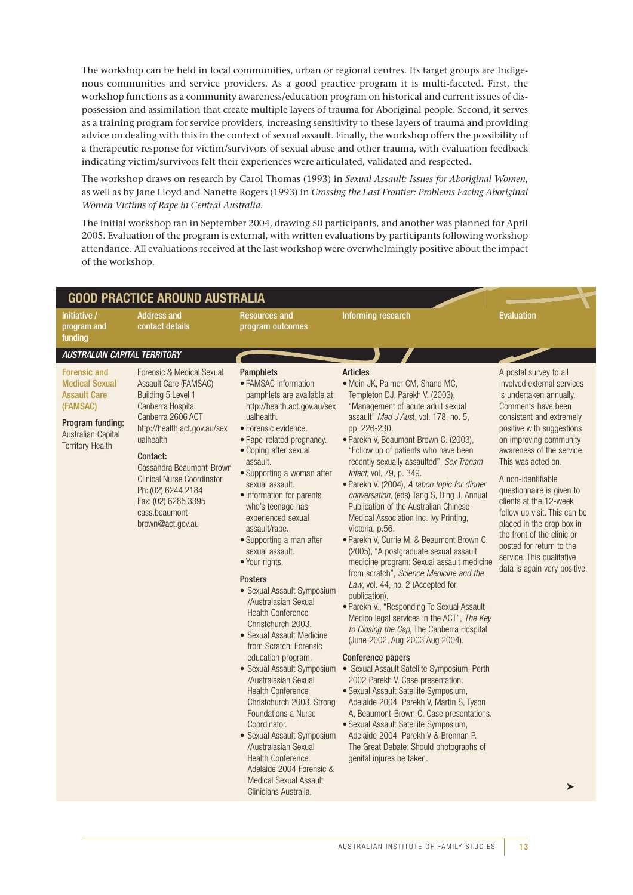The workshop can be held in local communities, urban or regional centres. Its target groups are Indigenous communities and service providers. As a good practice program it is multi-faceted. First, the workshop functions as a community awareness/education program on historical and current issues of dispossession and assimilation that create multiple layers of trauma for Aboriginal people. Second, it serves as a training program for service providers, increasing sensitivity to these layers of trauma and providing advice on dealing with this in the context of sexual assault. Finally, the workshop offers the possibility of a therapeutic response for victim/survivors of sexual abuse and other trauma, with evaluation feedback indicating victim/survivors felt their experiences were articulated, validated and respected.

The workshop draws on research by Carol Thomas (1993) in *Sexual Assault: Issues for Aboriginal Women*, as well as by Jane Lloyd and Nanette Rogers (1993) in *Crossing the Last Frontier: Problems Facing Aboriginal Women Victims of Rape in Central Australia.*

The initial workshop ran in September 2004, drawing 50 participants, and another was planned for April 2005. Evaluation of the program is external, with written evaluations by participants following workshop attendance. All evaluations received at the last workshop were overwhelmingly positive about the impact of the workshop.

| <b>GOOD PRACTICE AROUND AUSTRALIA</b>                                                                                                                |                                                                                                                                                                                                                                                                                                                                 |                                                                                                                                                                                                                                                                                                                                                                                                                                                                                                                                                                                                                                                                                                                                                                                                                                                                                                                                                                        |                                                                                                                                                                                                                                                                                                                                                                                                                                                                                                                                                                                                                                                                                                                                                                                                                                                                                                                                                                                                                                                                                                                                                                                                                                                                                                                                                                     |                                                                                                                                                                                                                                                                                                                                                                                                                                                                                                                   |  |
|------------------------------------------------------------------------------------------------------------------------------------------------------|---------------------------------------------------------------------------------------------------------------------------------------------------------------------------------------------------------------------------------------------------------------------------------------------------------------------------------|------------------------------------------------------------------------------------------------------------------------------------------------------------------------------------------------------------------------------------------------------------------------------------------------------------------------------------------------------------------------------------------------------------------------------------------------------------------------------------------------------------------------------------------------------------------------------------------------------------------------------------------------------------------------------------------------------------------------------------------------------------------------------------------------------------------------------------------------------------------------------------------------------------------------------------------------------------------------|---------------------------------------------------------------------------------------------------------------------------------------------------------------------------------------------------------------------------------------------------------------------------------------------------------------------------------------------------------------------------------------------------------------------------------------------------------------------------------------------------------------------------------------------------------------------------------------------------------------------------------------------------------------------------------------------------------------------------------------------------------------------------------------------------------------------------------------------------------------------------------------------------------------------------------------------------------------------------------------------------------------------------------------------------------------------------------------------------------------------------------------------------------------------------------------------------------------------------------------------------------------------------------------------------------------------------------------------------------------------|-------------------------------------------------------------------------------------------------------------------------------------------------------------------------------------------------------------------------------------------------------------------------------------------------------------------------------------------------------------------------------------------------------------------------------------------------------------------------------------------------------------------|--|
| Initiative /<br>program and<br>funding                                                                                                               | <b>Address and</b><br>contact details                                                                                                                                                                                                                                                                                           | <b>Resources and</b><br>program outcomes                                                                                                                                                                                                                                                                                                                                                                                                                                                                                                                                                                                                                                                                                                                                                                                                                                                                                                                               | Informing research                                                                                                                                                                                                                                                                                                                                                                                                                                                                                                                                                                                                                                                                                                                                                                                                                                                                                                                                                                                                                                                                                                                                                                                                                                                                                                                                                  | <b>Evaluation</b>                                                                                                                                                                                                                                                                                                                                                                                                                                                                                                 |  |
| <b>AUSTRALIAN CAPITAL TERRITORY</b>                                                                                                                  |                                                                                                                                                                                                                                                                                                                                 |                                                                                                                                                                                                                                                                                                                                                                                                                                                                                                                                                                                                                                                                                                                                                                                                                                                                                                                                                                        |                                                                                                                                                                                                                                                                                                                                                                                                                                                                                                                                                                                                                                                                                                                                                                                                                                                                                                                                                                                                                                                                                                                                                                                                                                                                                                                                                                     |                                                                                                                                                                                                                                                                                                                                                                                                                                                                                                                   |  |
| <b>Forensic and</b><br><b>Medical Sexual</b><br><b>Assault Care</b><br>(FAMSAC)<br>Program funding:<br>Australian Capital<br><b>Territory Health</b> | Forensic & Medical Sexual<br>Assault Care (FAMSAC)<br>Building 5 Level 1<br>Canberra Hospital<br>Canberra 2606 ACT<br>http://health.act.gov.au/sex<br>ualhealth<br>Contact:<br>Cassandra Beaumont-Brown<br><b>Clinical Nurse Coordinator</b><br>Ph: (02) 6244 2184<br>Fax: (02) 6285 3395<br>cass.beaumont-<br>brown@act.gov.au | <b>Pamphlets</b><br>• FAMSAC Information<br>pamphlets are available at:<br>http://health.act.gov.au/sex<br>ualhealth.<br>· Forensic evidence.<br>• Rape-related pregnancy.<br>• Coping after sexual<br>assault.<br>• Supporting a woman after<br>sexual assault.<br>• Information for parents<br>who's teenage has<br>experienced sexual<br>assault/rape.<br>• Supporting a man after<br>sexual assault.<br>· Your rights.<br><b>Posters</b><br>• Sexual Assault Symposium<br>/Australasian Sexual<br><b>Health Conference</b><br>Christchurch 2003.<br>• Sexual Assault Medicine<br>from Scratch: Forensic<br>education program.<br>• Sexual Assault Symposium<br>/Australasian Sexual<br><b>Health Conference</b><br>Christchurch 2003. Strong<br><b>Foundations a Nurse</b><br>Coordinator.<br>• Sexual Assault Symposium<br>/Australasian Sexual<br><b>Health Conference</b><br>Adelaide 2004 Forensic &<br><b>Medical Sexual Assault</b><br>Clinicians Australia. | <b>Articles</b><br>. Mein JK, Palmer CM, Shand MC,<br>Templeton DJ, Parekh V. (2003),<br>"Management of acute adult sexual<br>assault" Med J Aust, vol. 178, no. 5,<br>pp. 226-230.<br>· Parekh V, Beaumont Brown C. (2003),<br>"Follow up of patients who have been<br>recently sexually assaulted", Sex Transm<br>Infect, vol. 79, p. 349.<br>· Parekh V. (2004), A taboo topic for dinner<br>conversation, (eds) Tang S, Ding J, Annual<br>Publication of the Australian Chinese<br>Medical Association Inc. Ivy Printing,<br>Victoria, p.56.<br>· Parekh V, Currie M, & Beaumont Brown C.<br>(2005), "A postgraduate sexual assault<br>medicine program: Sexual assault medicine<br>from scratch", Science Medicine and the<br>Law, vol. 44, no. 2 (Accepted for<br>publication).<br>· Parekh V., "Responding To Sexual Assault-<br>Medico legal services in the ACT", The Key<br>to Closing the Gap, The Canberra Hospital<br>(June 2002, Aug 2003 Aug 2004).<br>Conference papers<br>• Sexual Assault Satellite Symposium, Perth<br>2002 Parekh V. Case presentation.<br>· Sexual Assault Satellite Symposium,<br>Adelaide 2004 Parekh V, Martin S, Tyson<br>A, Beaumont-Brown C. Case presentations.<br>· Sexual Assault Satellite Symposium,<br>Adelaide 2004 Parekh V & Brennan P.<br>The Great Debate: Should photographs of<br>genital injures be taken. | A postal survey to all<br>involved external services<br>is undertaken annually.<br>Comments have been<br>consistent and extremely<br>positive with suggestions<br>on improving community<br>awareness of the service.<br>This was acted on.<br>A non-identifiable<br>questionnaire is given to<br>clients at the 12-week<br>follow up visit. This can be<br>placed in the drop box in<br>the front of the clinic or<br>posted for return to the<br>service. This qualitative<br>data is again very positive.<br>➤ |  |
|                                                                                                                                                      |                                                                                                                                                                                                                                                                                                                                 |                                                                                                                                                                                                                                                                                                                                                                                                                                                                                                                                                                                                                                                                                                                                                                                                                                                                                                                                                                        |                                                                                                                                                                                                                                                                                                                                                                                                                                                                                                                                                                                                                                                                                                                                                                                                                                                                                                                                                                                                                                                                                                                                                                                                                                                                                                                                                                     |                                                                                                                                                                                                                                                                                                                                                                                                                                                                                                                   |  |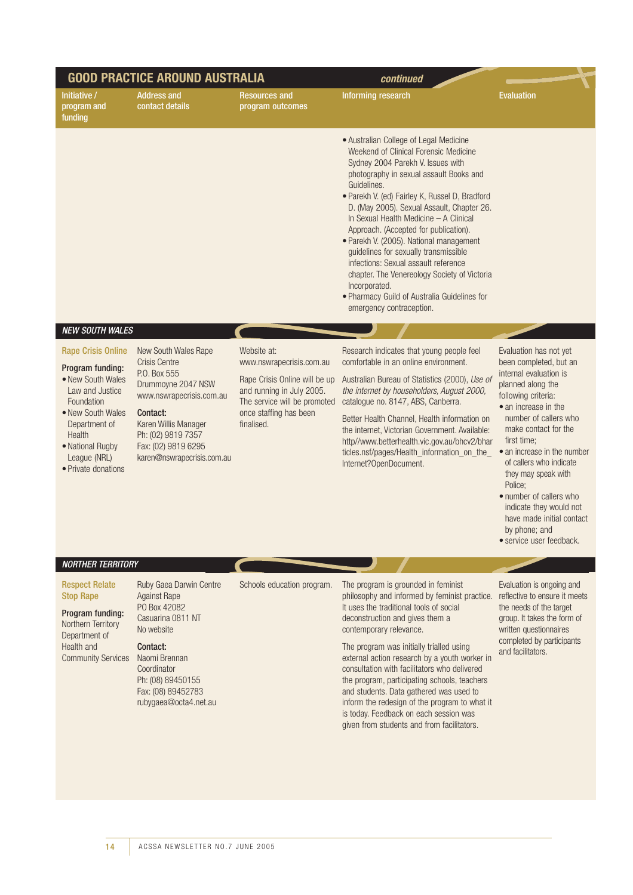| <b>GOOD PRACTICE AROUND AUSTRALIA</b>                                                                                                                                                                          |                                                                                                                                                                                                                               | continued                                                                                                                                                                     |                                                                                                                                                                                                                                                                                                                                                                                                                                                                                                                                                                                                                                            |                                                                                                                                                                                                                                                                                                                                                                                                                                            |
|----------------------------------------------------------------------------------------------------------------------------------------------------------------------------------------------------------------|-------------------------------------------------------------------------------------------------------------------------------------------------------------------------------------------------------------------------------|-------------------------------------------------------------------------------------------------------------------------------------------------------------------------------|--------------------------------------------------------------------------------------------------------------------------------------------------------------------------------------------------------------------------------------------------------------------------------------------------------------------------------------------------------------------------------------------------------------------------------------------------------------------------------------------------------------------------------------------------------------------------------------------------------------------------------------------|--------------------------------------------------------------------------------------------------------------------------------------------------------------------------------------------------------------------------------------------------------------------------------------------------------------------------------------------------------------------------------------------------------------------------------------------|
| Initiative /<br>program and<br>funding                                                                                                                                                                         | <b>Address and</b><br>contact details                                                                                                                                                                                         | <b>Resources and</b><br>program outcomes                                                                                                                                      | Informing research                                                                                                                                                                                                                                                                                                                                                                                                                                                                                                                                                                                                                         | <b>Evaluation</b>                                                                                                                                                                                                                                                                                                                                                                                                                          |
|                                                                                                                                                                                                                |                                                                                                                                                                                                                               |                                                                                                                                                                               | · Australian College of Legal Medicine<br>Weekend of Clinical Forensic Medicine<br>Sydney 2004 Parekh V. Issues with<br>photography in sexual assault Books and<br>Guidelines.<br>· Parekh V. (ed) Fairley K, Russel D, Bradford<br>D. (May 2005). Sexual Assault, Chapter 26.<br>In Sexual Health Medicine - A Clinical<br>Approach. (Accepted for publication).<br>· Parekh V. (2005). National management<br>guidelines for sexually transmissible<br>infections: Sexual assault reference<br>chapter. The Venereology Society of Victoria<br>Incorporated.<br>· Pharmacy Guild of Australia Guidelines for<br>emergency contraception. |                                                                                                                                                                                                                                                                                                                                                                                                                                            |
| <b>NEW SOUTH WALES</b>                                                                                                                                                                                         |                                                                                                                                                                                                                               |                                                                                                                                                                               |                                                                                                                                                                                                                                                                                                                                                                                                                                                                                                                                                                                                                                            |                                                                                                                                                                                                                                                                                                                                                                                                                                            |
| <b>Rape Crisis Online</b><br>Program funding:<br>• New South Wales<br>Law and Justice<br>Foundation<br>• New South Wales<br>Department of<br>Health<br>• National Rugby<br>League (NRL)<br>• Private donations | New South Wales Rape<br><b>Crisis Centre</b><br>P.O. Box 555<br>Drummoyne 2047 NSW<br>www.nswrapecrisis.com.au<br>Contact:<br>Karen Willis Manager<br>Ph: (02) 9819 7357<br>Fax: (02) 9819 6295<br>karen@nswrapecrisis.com.au | Website at:<br>www.nswrapecrisis.com.au<br>Rape Crisis Online will be up<br>and running in July 2005.<br>The service will be promoted<br>once staffing has been<br>finalised. | Research indicates that young people feel<br>comfortable in an online environment.<br>Australian Bureau of Statistics (2000), Use of<br>the internet by householders, August 2000,<br>catalogue no. 8147, ABS, Canberra.<br>Better Health Channel, Health information on<br>the internet, Victorian Government. Available:<br>http//www.betterhealth.vic.gov.au/bhcv2/bhar<br>ticles.nsf/pages/Health_information_on_the_<br>Internet?OpenDocument.                                                                                                                                                                                        | Evaluation has not yet<br>been completed, but an<br>internal evaluation is<br>planned along the<br>following criteria:<br>• an increase in the<br>number of callers who<br>make contact for the<br>first time:<br>• an increase in the number<br>of callers who indicate<br>they may speak with<br>Police:<br>• number of callers who<br>indicate they would not<br>have made initial contact<br>by phone; and<br>· service user feedback. |
| <b>NORTHER TERRITORY</b>                                                                                                                                                                                       |                                                                                                                                                                                                                               |                                                                                                                                                                               |                                                                                                                                                                                                                                                                                                                                                                                                                                                                                                                                                                                                                                            |                                                                                                                                                                                                                                                                                                                                                                                                                                            |
| <b>Respect Relate</b><br><b>Stop Rape</b><br>Program funding:<br>Northern Territory<br>Department of<br>Health and<br><b>Community Services</b>                                                                | Ruby Gaea Darwin Centre<br><b>Against Rape</b><br>PO Box 42082<br>Casuarina 0811 NT<br>No website<br>Contact:<br>Naomi Brennan<br>Coordinator<br>Ph: (08) 89450155<br>Fax: (08) 89452783<br>rubygaea@octa4.net.au             | Schools education program.                                                                                                                                                    | The program is grounded in feminist<br>philosophy and informed by feminist practice.<br>It uses the traditional tools of social<br>deconstruction and gives them a<br>contemporary relevance.<br>The program was initially trialled using<br>external action research by a youth worker in<br>consultation with facilitators who delivered<br>the program, participating schools, teachers<br>and students. Data gathered was used to<br>inform the redesign of the program to what it<br>is today. Feedback on each session was<br>given from students and from facilitators.                                                             | Evaluation is ongoing and<br>reflective to ensure it meets<br>the needs of the target<br>group. It takes the form of<br>written questionnaires<br>completed by participants<br>and facilitators.                                                                                                                                                                                                                                           |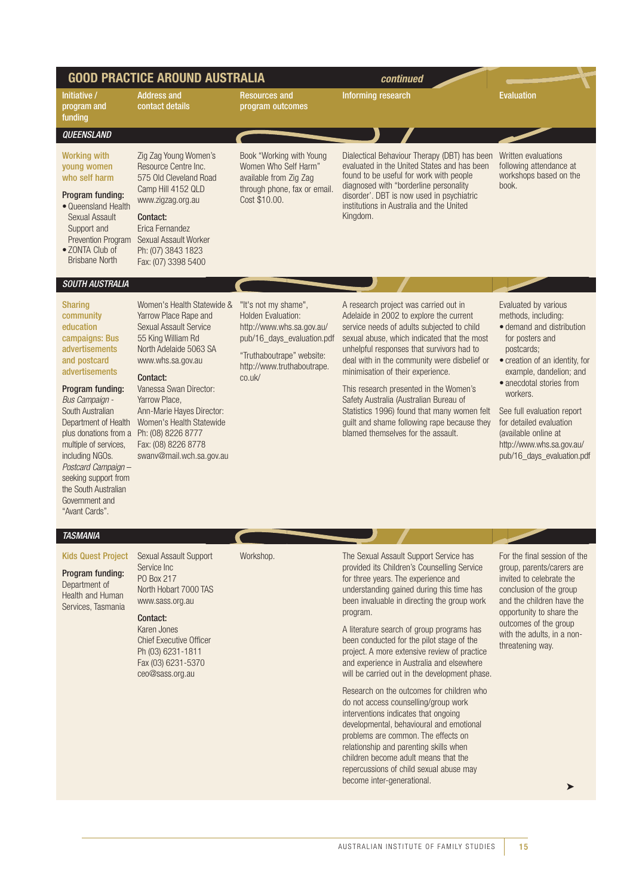|                                                                                                                                                                                                                                                                                                                                                                                                    | <b>GOOD PRACTICE AROUND AUSTRALIA</b>                                                                                                                                                                                                                                                                                        |                                                                                                                                                                                   | continued                                                                                                                                                                                                                                                                                                                                                                                                                                                                                                                                                                                                                                                                                                                                                                                                                                               |                                                                                                                                                                                                                                                                                                                                                            |
|----------------------------------------------------------------------------------------------------------------------------------------------------------------------------------------------------------------------------------------------------------------------------------------------------------------------------------------------------------------------------------------------------|------------------------------------------------------------------------------------------------------------------------------------------------------------------------------------------------------------------------------------------------------------------------------------------------------------------------------|-----------------------------------------------------------------------------------------------------------------------------------------------------------------------------------|---------------------------------------------------------------------------------------------------------------------------------------------------------------------------------------------------------------------------------------------------------------------------------------------------------------------------------------------------------------------------------------------------------------------------------------------------------------------------------------------------------------------------------------------------------------------------------------------------------------------------------------------------------------------------------------------------------------------------------------------------------------------------------------------------------------------------------------------------------|------------------------------------------------------------------------------------------------------------------------------------------------------------------------------------------------------------------------------------------------------------------------------------------------------------------------------------------------------------|
| Initiative /<br>program and<br>funding                                                                                                                                                                                                                                                                                                                                                             | <b>Address and</b><br>contact details                                                                                                                                                                                                                                                                                        | <b>Resources and</b><br>program outcomes                                                                                                                                          | Informing research                                                                                                                                                                                                                                                                                                                                                                                                                                                                                                                                                                                                                                                                                                                                                                                                                                      | <b>Evaluation</b>                                                                                                                                                                                                                                                                                                                                          |
| QUEENSLAND                                                                                                                                                                                                                                                                                                                                                                                         |                                                                                                                                                                                                                                                                                                                              |                                                                                                                                                                                   |                                                                                                                                                                                                                                                                                                                                                                                                                                                                                                                                                                                                                                                                                                                                                                                                                                                         |                                                                                                                                                                                                                                                                                                                                                            |
| <b>Working with</b><br>young women<br>who self harm<br>Program funding:<br>• Queensland Health<br>Sexual Assault<br>Support and<br>Prevention Program<br>• ZONTA Club of<br><b>Brisbane North</b>                                                                                                                                                                                                  | Zig Zag Young Women's<br>Resource Centre Inc.<br>575 Old Cleveland Road<br>Camp Hill 4152 QLD<br>www.zigzag.org.au<br>Contact:<br>Erica Fernandez<br>Sexual Assault Worker<br>Ph: (07) 3843 1823<br>Fax: (07) 3398 5400                                                                                                      | Book "Working with Young<br>Women Who Self Harm"<br>available from Zig Zag<br>through phone, fax or email.<br>Cost \$10.00.                                                       | Dialectical Behaviour Therapy (DBT) has been<br>evaluated in the United States and has been<br>found to be useful for work with people<br>diagnosed with "borderline personality<br>disorder'. DBT is now used in psychiatric<br>institutions in Australia and the United<br>Kingdom.                                                                                                                                                                                                                                                                                                                                                                                                                                                                                                                                                                   | Written evaluations<br>following attendance at<br>workshops based on the<br>book.                                                                                                                                                                                                                                                                          |
| SOUTH AUSTRALIA                                                                                                                                                                                                                                                                                                                                                                                    |                                                                                                                                                                                                                                                                                                                              |                                                                                                                                                                                   |                                                                                                                                                                                                                                                                                                                                                                                                                                                                                                                                                                                                                                                                                                                                                                                                                                                         |                                                                                                                                                                                                                                                                                                                                                            |
| <b>Sharing</b><br>community<br>education<br>campaigns: Bus<br>advertisements<br>and postcard<br>advertisements<br>Program funding:<br>Bus Campaign -<br>South Australian<br>Department of Health<br>plus donations from a Ph: (08) 8226 8777<br>multiple of services,<br>including NGOs.<br>Postcard Campaign-<br>seeking support from<br>the South Australian<br>Government and<br>"Avant Cards". | Women's Health Statewide &<br>Yarrow Place Rape and<br><b>Sexual Assault Service</b><br>55 King William Rd<br>North Adelaide 5063 SA<br>www.whs.sa.gov.au<br>Contact:<br>Vanessa Swan Director:<br>Yarrow Place,<br>Ann-Marie Hayes Director:<br>Women's Health Statewide<br>Fax: (08) 8226 8778<br>swanv@mail.wch.sa.gov.au | "It's not my shame",<br><b>Holden Evaluation:</b><br>http://www.whs.sa.gov.au/<br>pub/16_days_evaluation.pdf<br>"Truthaboutrape" website:<br>http://www.truthaboutrape.<br>co.uk/ | A research project was carried out in<br>Adelaide in 2002 to explore the current<br>service needs of adults subjected to child<br>sexual abuse, which indicated that the most<br>unhelpful responses that survivors had to<br>deal with in the community were disbelief or<br>minimisation of their experience.<br>This research presented in the Women's<br>Safety Australia (Australian Bureau of<br>Statistics 1996) found that many women felt<br>guilt and shame following rape because they<br>blamed themselves for the assault.                                                                                                                                                                                                                                                                                                                 | Evaluated by various<br>methods, including:<br>• demand and distribution<br>for posters and<br>postcards;<br>• creation of an identity, for<br>example, dandelion; and<br>• anecdotal stories from<br>workers.<br>See full evaluation report<br>for detailed evaluation<br>(available online at<br>http://www.whs.sa.gov.au/<br>pub/16_days_evaluation.pdf |
| <b>TASMANIA</b>                                                                                                                                                                                                                                                                                                                                                                                    |                                                                                                                                                                                                                                                                                                                              |                                                                                                                                                                                   |                                                                                                                                                                                                                                                                                                                                                                                                                                                                                                                                                                                                                                                                                                                                                                                                                                                         |                                                                                                                                                                                                                                                                                                                                                            |
| <b>Kids Quest Project</b><br>Program funding:<br>Department of<br>Health and Human<br>Services, Tasmania                                                                                                                                                                                                                                                                                           | Sexual Assault Support<br>Service Inc<br>PO Box 217<br>North Hobart 7000 TAS<br>www.sass.org.au<br>Contact:<br>Karen Jones<br><b>Chief Executive Officer</b><br>Ph (03) 6231-1811<br>Fax (03) 6231-5370<br>ceo@sass.org.au                                                                                                   | Workshop.                                                                                                                                                                         | The Sexual Assault Support Service has<br>provided its Children's Counselling Service<br>for three years. The experience and<br>understanding gained during this time has<br>been invaluable in directing the group work<br>program.<br>A literature search of group programs has<br>been conducted for the pilot stage of the<br>project. A more extensive review of practice<br>and experience in Australia and elsewhere<br>will be carried out in the development phase.<br>Research on the outcomes for children who<br>do not access counselling/group work<br>interventions indicates that ongoing<br>developmental, behavioural and emotional<br>problems are common. The effects on<br>relationship and parenting skills when<br>children become adult means that the<br>repercussions of child sexual abuse may<br>become inter-generational. | For the final session of the<br>group, parents/carers are<br>invited to celebrate the<br>conclusion of the group<br>and the children have the<br>opportunity to share the<br>outcomes of the group<br>with the adults, in a non-<br>threatening way.                                                                                                       |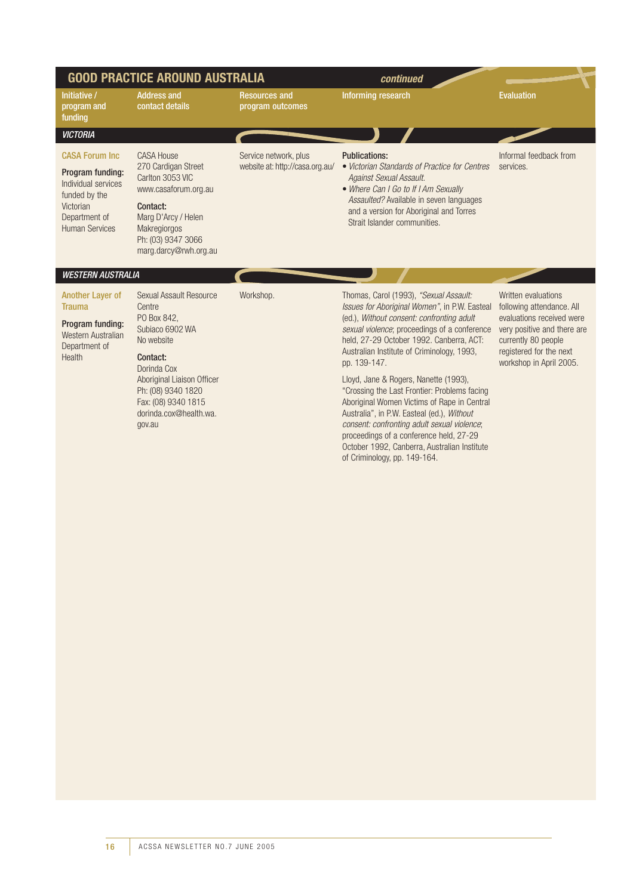| <b>GOOD PRACTICE AROUND AUSTRALIA</b>                                                                                                     |                                                                                                                                                                                                                             |                                                          | continued                                                                                                                                                                                                                                                                                                                                                                                                                                                                                                                           |                                                                                                                                                                                           |
|-------------------------------------------------------------------------------------------------------------------------------------------|-----------------------------------------------------------------------------------------------------------------------------------------------------------------------------------------------------------------------------|----------------------------------------------------------|-------------------------------------------------------------------------------------------------------------------------------------------------------------------------------------------------------------------------------------------------------------------------------------------------------------------------------------------------------------------------------------------------------------------------------------------------------------------------------------------------------------------------------------|-------------------------------------------------------------------------------------------------------------------------------------------------------------------------------------------|
| Initiative /<br>program and<br>funding                                                                                                    | <b>Address and</b><br>contact details                                                                                                                                                                                       | <b>Resources and</b><br>program outcomes                 | <b>Informing research</b>                                                                                                                                                                                                                                                                                                                                                                                                                                                                                                           | <b>Evaluation</b>                                                                                                                                                                         |
| <b>VICTORIA</b>                                                                                                                           |                                                                                                                                                                                                                             |                                                          |                                                                                                                                                                                                                                                                                                                                                                                                                                                                                                                                     |                                                                                                                                                                                           |
| <b>CASA Forum Inc.</b><br>Program funding:<br>Individual services<br>funded by the<br>Victorian<br>Department of<br><b>Human Services</b> | <b>CASA House</b><br>270 Cardigan Street<br>Carlton 3053 VIC<br>www.casaforum.org.au<br>Contact:<br>Marg D'Arcy / Helen<br>Makregiorgos<br>Ph: (03) 9347 3066<br>marg.darcy@rwh.org.au                                      | Service network, plus<br>website at: http://casa.org.au/ | <b>Publications:</b><br>• Victorian Standards of Practice for Centres<br>Against Sexual Assault.<br>• Where Can I Go to If I Am Sexually<br>Assaulted? Available in seven languages<br>and a version for Aboriginal and Torres<br>Strait Islander communities.                                                                                                                                                                                                                                                                      | Informal feedback from<br>services.                                                                                                                                                       |
| <b>WESTERN AUSTRALIA</b>                                                                                                                  |                                                                                                                                                                                                                             |                                                          |                                                                                                                                                                                                                                                                                                                                                                                                                                                                                                                                     |                                                                                                                                                                                           |
| <b>Another Layer of</b><br><b>Trauma</b><br>Program funding:<br>Western Australian<br>Department of<br><b>Health</b>                      | Sexual Assault Resource<br>Centre<br>PO Box 842,<br>Subiaco 6902 WA<br>No website<br>Contact:<br>Dorinda Cox<br>Aboriginal Liaison Officer<br>Ph: (08) 9340 1820<br>Fax: (08) 9340 1815<br>dorinda.cox@health.wa.<br>gov.au | Workshop.                                                | Thomas, Carol (1993), "Sexual Assault:<br>Issues for Aboriginal Women", in P.W. Easteal<br>(ed.), Without consent: confronting adult<br>sexual violence; proceedings of a conference<br>held, 27-29 October 1992. Canberra, ACT:<br>Australian Institute of Criminology, 1993,<br>pp. 139-147.<br>Lloyd, Jane & Rogers, Nanette (1993),<br>"Crossing the Last Frontier: Problems facing<br>Aboriginal Women Victims of Rape in Central<br>Australia", in P.W. Easteal (ed.), Without<br>consent: confronting adult sexual violence; | Written evaluations<br>following attendance. All<br>evaluations received were<br>very positive and there are<br>currently 80 people<br>registered for the next<br>workshop in April 2005. |

proceedings of a conference held, 27-29 October 1992, Canberra, Australian Institute

of Criminology, pp. 149-164.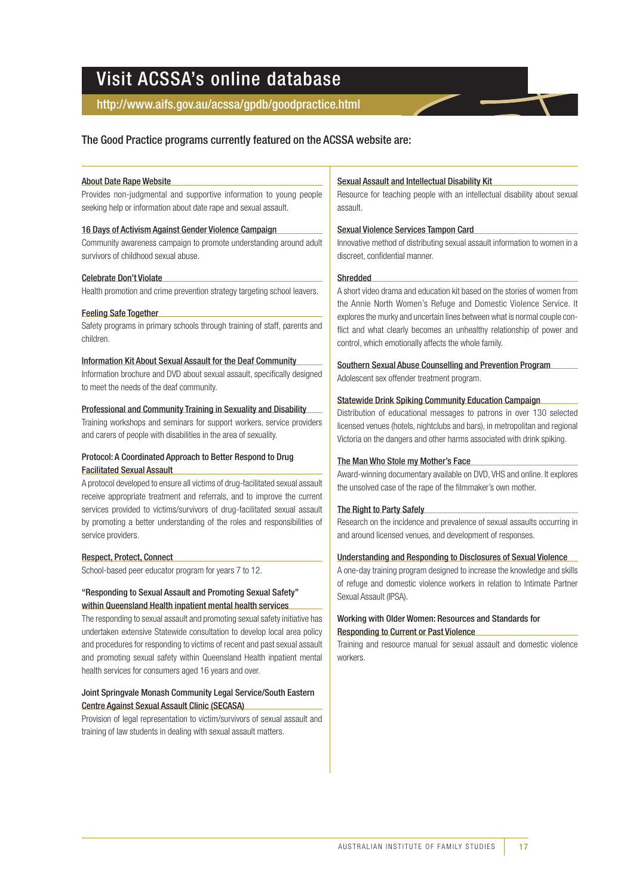## Visit ACSSA's online database

#### http://www.aifs.gov.au/acssa/gpdb/goodpractice.html

#### The Good Practice programs currently featured on the ACSSA website are:

#### About Date Rape Website

Provides non-judgmental and supportive information to young people seeking help or information about date rape and sexual assault.

#### 16 Days of Activism Against Gender Violence Campaign

Community awareness campaign to promote understanding around adult survivors of childhood sexual abuse.

#### Celebrate Don't Violate

Health promotion and crime prevention strategy targeting school leavers.

#### Feeling Safe Together

Safety programs in primary schools through training of staff, parents and children.

#### Information Kit About Sexual Assault for the Deaf Community

Information brochure and DVD about sexual assault, specifically designed to meet the needs of the deaf community.

#### Professional and Community Training in Sexuality and Disability

Training workshops and seminars for support workers, service providers and carers of people with disabilities in the area of sexuality.

#### Protocol: A Coordinated Approach to Better Respond to Drug Facilitated Sexual Assault

A protocol developed to ensure all victims of drug-facilitated sexual assault receive appropriate treatment and referrals, and to improve the current services provided to victims/survivors of drug-facilitated sexual assault by promoting a better understanding of the roles and responsibilities of service providers.

#### Respect, Protect, Connect

School-based peer educator program for years 7 to 12.

#### "Responding to Sexual Assault and Promoting Sexual Safety" within Queensland Health inpatient mental health services

The responding to sexual assault and promoting sexual safety initiative has undertaken extensive Statewide consultation to develop local area policy and procedures for responding to victims of recent and past sexual assault and promoting sexual safety within Queensland Health inpatient mental health services for consumers aged 16 years and over.

#### Joint Springvale Monash Community Legal Service/South Eastern Centre Against Sexual Assault Clinic (SECASA)

Provision of legal representation to victim/survivors of sexual assault and training of law students in dealing with sexual assault matters.

#### Sexual Assault and Intellectual Disability Kit

Resource for teaching people with an intellectual disability about sexual assault.

#### Sexual Violence Services Tampon Card

Innovative method of distributing sexual assault information to women in a discreet, confidential manner.

#### Shredded

A short video drama and education kit based on the stories of women from the Annie North Women's Refuge and Domestic Violence Service. It explores the murky and uncertain lines between what is normal couple conflict and what clearly becomes an unhealthy relationship of power and control, which emotionally affects the whole family.

### Southern Sexual Abuse Counselling and Prevention Program

Adolescent sex offender treatment program.

#### Statewide Drink Spiking Community Education Campaign

Distribution of educational messages to patrons in over 130 selected licensed venues (hotels, nightclubs and bars), in metropolitan and regional Victoria on the dangers and other harms associated with drink spiking.

#### The Man Who Stole my Mother's Face

Award-winning documentary available on DVD, VHS and online. It explores the unsolved case of the rape of the filmmaker's own mother.

#### The Right to Party Safely

Research on the incidence and prevalence of sexual assaults occurring in and around licensed venues, and development of responses.

#### Understanding and Responding to Disclosures of Sexual Violence

A one-day training program designed to increase the knowledge and skills of refuge and domestic violence workers in relation to Intimate Partner Sexual Assault (IPSA).

#### Working with Older Women: Resources and Standards for Responding to Current or Past Violence

Training and resource manual for sexual assault and domestic violence workers.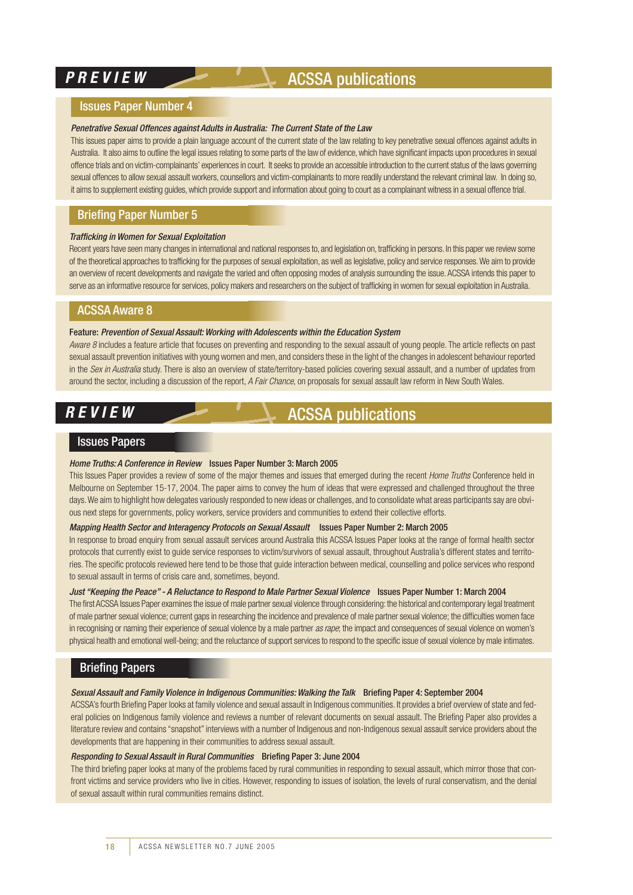### **PREVIEW ACSSA publications**

#### Issues Paper Number 4

#### *Penetrative Sexual Offences against Adults in Australia: The Current State of the Law*

This issues paper aims to provide a plain language account of the current state of the law relating to key penetrative sexual offences against adults in Australia. It also aims to outline the legal issues relating to some parts of the law of evidence, which have significant impacts upon procedures in sexual offence trials and on victim-complainants' experiences in court. It seeks to provide an accessible introduction to the current status of the laws governing sexual offences to allow sexual assault workers, counsellors and victim-complainants to more readily understand the relevant criminal law. In doing so, it aims to supplement existing guides, which provide support and information about going to court as a complainant witness in a sexual offence trial.

#### Briefing Paper Number 5

#### *Trafficking in Women for Sexual Exploitation*

Recent years have seen many changes in international and national responses to, and legislation on, trafficking in persons. In this paper we review some of the theoretical approaches to trafficking for the purposes of sexual exploitation, as well as legislative, policy and service responses.We aim to provide an overview of recent developments and navigate the varied and often opposing modes of analysis surrounding the issue.ACSSA intends this paper to serve as an informative resource for services, policy makers and researchers on the subject of trafficking in women for sexual exploitation in Australia.

#### ACSSA Aware 8

#### Feature: *Prevention of Sexual Assault: Working with Adolescents within the Education System*

*Aware 8* includes a feature article that focuses on preventing and responding to the sexual assault of young people. The article reflects on past sexual assault prevention initiatives with young women and men, and considers these in the light of the changes in adolescent behaviour reported in the *Sex in Australia* study. There is also an overview of state/territory-based policies covering sexual assault, and a number of updates from around the sector, including a discussion of the report, *A Fair Chance*, on proposals for sexual assault law reform in New South Wales.

### *REVIEW* ACSSA publications

#### Issues Papers

#### *Home Truths: A Conference in Review* Issues Paper Number 3: March 2005

This Issues Paper provides a review of some of the major themes and issues that emerged during the recent *Home Truths* Conference held in Melbourne on September 15-17, 2004. The paper aims to convey the hum of ideas that were expressed and challenged throughout the three days.We aim to highlight how delegates variously responded to new ideas or challenges, and to consolidate what areas participants say are obvious next steps for governments, policy workers, service providers and communities to extend their collective efforts.

#### *Mapping Health Sector and Interagency Protocols on Sexual Assault* Issues Paper Number 2: March 2005

In response to broad enquiry from sexual assault services around Australia this ACSSA Issues Paper looks at the range of formal health sector protocols that currently exist to guide service responses to victim/survivors of sexual assault, throughout Australia's different states and territories. The specific protocols reviewed here tend to be those that guide interaction between medical, counselling and police services who respond to sexual assault in terms of crisis care and, sometimes, beyond.

#### *Just "Keeping the Peace" - A Reluctance to Respond to Male Partner Sexual Violence* Issues Paper Number 1: March 2004

The first ACSSA Issues Paper examines the issue of male partner sexual violence through considering: the historical and contemporary legal treatment of male partner sexual violence; current gaps in researching the incidence and prevalence of male partner sexual violence; the difficulties women face in recognising or naming their experience of sexual violence by a male partner *as rape*; the impact and consequences of sexual violence on women's physical health and emotional well-being; and the reluctance of support services to respond to the specific issue of sexual violence by male intimates.

#### Briefing Papers

#### *Sexual Assault and Family Violence in Indigenous Communities: Walking the Talk* Briefing Paper 4: September 2004

ACSSA's fourth Briefing Paper looks at family violence and sexual assault in Indigenous communities. It provides a brief overview of state and federal policies on Indigenous family violence and reviews a number of relevant documents on sexual assault. The Briefing Paper also provides a literature review and contains "snapshot" interviews with a number of Indigenous and non-Indigenous sexual assault service providers about the developments that are happening in their communities to address sexual assault.

#### *Responding to Sexual Assault in Rural Communities* Briefing Paper 3: June 2004

The third briefing paper looks at many of the problems faced by rural communities in responding to sexual assault, which mirror those that confront victims and service providers who live in cities. However, responding to issues of isolation, the levels of rural conservatism, and the denial of sexual assault within rural communities remains distinct.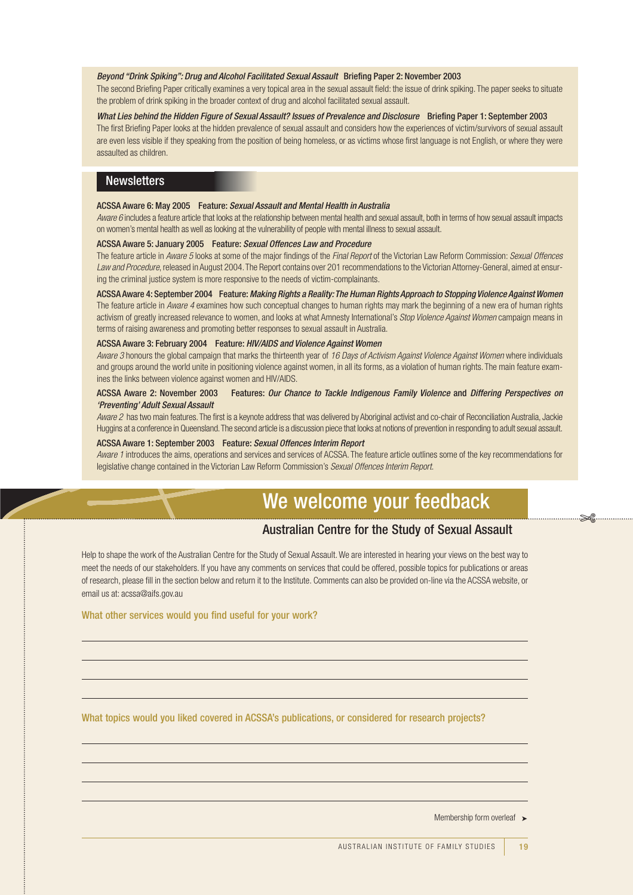#### *Beyond "Drink Spiking": Drug and Alcohol Facilitated Sexual Assault* Briefing Paper 2: November 2003

The second Briefing Paper critically examines a very topical area in the sexual assault field: the issue of drink spiking. The paper seeks to situate the problem of drink spiking in the broader context of drug and alcohol facilitated sexual assault.

*What Lies behind the Hidden Figure of Sexual Assault? Issues of Prevalence and Disclosure* Briefing Paper 1: September 2003 The first Briefing Paper looks at the hidden prevalence of sexual assault and considers how the experiences of victim/survivors of sexual assault are even less visible if they speaking from the position of being homeless, or as victims whose first language is not English, or where they were assaulted as children.

#### **Newsletters**

#### ACSSA Aware 6: May 2005 Feature: *Sexual Assault and Mental Health in Australia*

*Aware 6* includes a feature article that looks at the relationship between mental health and sexual assault, both in terms of how sexual assault impacts on women's mental health as well as looking at the vulnerability of people with mental illness to sexual assault.

#### ACSSA Aware 5: January 2005 Feature: *Sexual Offences Law and Procedure*

The feature article in *Aware 5* looks at some of the major findings of the *Final Report* of the Victorian Law Reform Commission: *Sexual Offences Law and Procedure*, released in August 2004.The Report contains over 201 recommendations to the Victorian Attorney-General, aimed at ensuring the criminal justice system is more responsive to the needs of victim-complainants.

ACSSA Aware 4: September 2004 Feature:*Making Rights a Reality:The Human Rights Approach to Stopping Violence Against Women* The feature article in *Aware 4* examines how such conceptual changes to human rights may mark the beginning of a new era of human rights activism of greatly increased relevance to women, and looks at what Amnesty International's *Stop Violence Against Women* campaign means in terms of raising awareness and promoting better responses to sexual assault in Australia.

#### ACSSA Aware 3: February 2004 Feature: *HIV/AIDS and Violence Against Women*

*Aware 3* honours the global campaign that marks the thirteenth year of *16 Days of Activism Against Violence Against Women* where individuals and groups around the world unite in positioning violence against women, in all its forms, as a violation of human rights. The main feature examines the links between violence against women and HIV/AIDS.

#### ACSSA Aware 2: November 2003 Features: *Our Chance to Tackle Indigenous Family Violence* and *Differing Perspectives on 'Preventing' Adult Sexual Assault*

*Aware 2* has two main features.The first is a keynote address that was delivered by Aboriginal activist and co-chair of Reconciliation Australia, Jackie Huggins at a conference in Queensland.The second article is a discussion piece that looks at notions of prevention in responding to adult sexual assault.

#### ACSSA Aware 1: September 2003 Feature: *Sexual Offences Interim Report*

*Aware 1* introduces the aims, operations and services and services of ACSSA. The feature article outlines some of the key recommendations for legislative change contained in the Victorian Law Reform Commission's *Sexual Offences Interim Report*.

### We welcome your feedback

#### Australian Centre for the Study of Sexual Assault

Help to shape the work of the Australian Centre for the Study of Sexual Assault. We are interested in hearing your views on the best way to meet the needs of our stakeholders. If you have any comments on services that could be offered, possible topics for publications or areas of research, please fill in the section below and return it to the Institute. Comments can also be provided on-line via the ACSSA website, or email us at: acssa@aifs.gov.au

What other services would you find useful for your work?

What topics would you liked covered in ACSSA's publications, or considered for research projects?

Membership form overleaf ►

 $\frac{1}{2}$